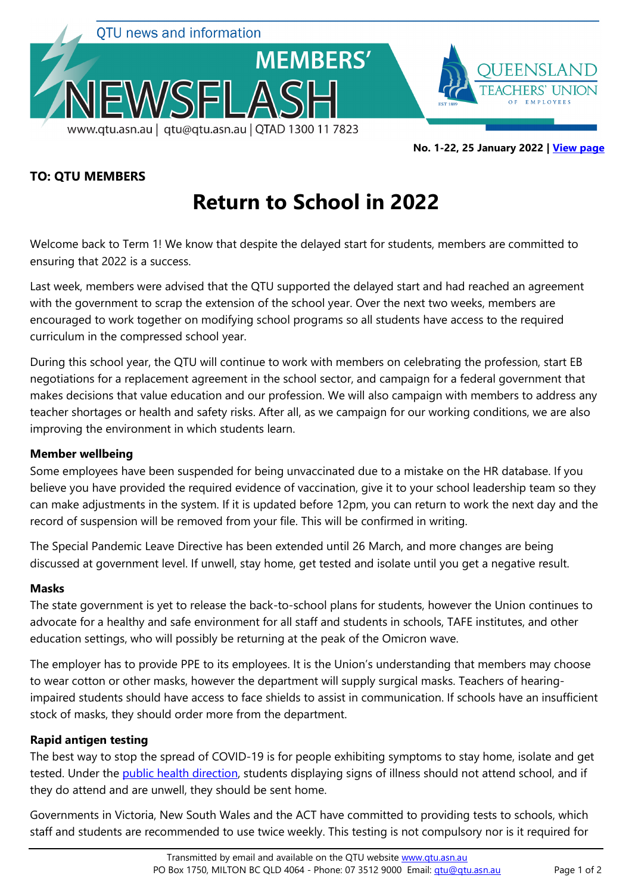

**No. 1-22, 25 January 2022 | [View page](http://www.qtu.asn.au/nflash0122)**

# **TO: QTU MEMBERS**

# **Return to School in 2022**

Welcome back to Term 1! We know that despite the delayed start for students, members are committed to ensuring that 2022 is a success.

Last week, members were advised that the QTU supported the delayed start and had reached an agreement with the government to scrap the extension of the school year. Over the next two weeks, members are encouraged to work together on modifying school programs so all students have access to the required curriculum in the compressed school year.

During this school year, the QTU will continue to work with members on celebrating the profession, start EB negotiations for a replacement agreement in the school sector, and campaign for a federal government that makes decisions that value education and our profession. We will also campaign with members to address any teacher shortages or health and safety risks. After all, as we campaign for our working conditions, we are also improving the environment in which students learn.

# **Member wellbeing**

Some employees have been suspended for being unvaccinated due to a mistake on the HR database. If you believe you have provided the required evidence of vaccination, give it to your school leadership team so they can make adjustments in the system. If it is updated before 12pm, you can return to work the next day and the record of suspension will be removed from your file. This will be confirmed in writing.

The Special Pandemic Leave Directive has been extended until 26 March, and more changes are being discussed at government level. If unwell, stay home, get tested and isolate until you get a negative result.

#### **Masks**

The state government is yet to release the back-to-school plans for students, however the Union continues to advocate for a healthy and safe environment for all staff and students in schools, TAFE institutes, and other education settings, who will possibly be returning at the peak of the Omicron wave.

The employer has to provide PPE to its employees. It is the Union's understanding that members may choose to wear cotton or other masks, however the department will supply surgical masks. Teachers of hearingimpaired students should have access to face shields to assist in communication. If schools have an insufficient stock of masks, they should order more from the department.

# **Rapid antigen testing**

The best way to stop the spread of COVID-19 is for people exhibiting symptoms to stay home, isolate and get tested. Under the [public health direction,](https://www.qld.gov.au/health/conditions/health-alerts/coronavirus-covid-19/current-status/public-health-directions/school-and-early-childhood-service-exclusion-direction) students displaying signs of illness should not attend school, and if they do attend and are unwell, they should be sent home.

Governments in Victoria, New South Wales and the ACT have committed to providing tests to schools, which staff and students are recommended to use twice weekly. This testing is not compulsory nor is it required for